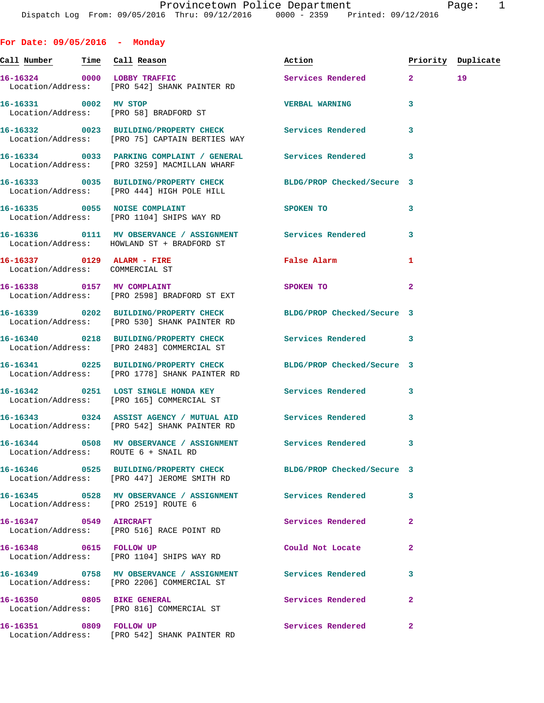**For Date: 09/05/2016 - Monday Call Number Time Call Reason Action Priority Duplicate 16-16324 0000 LOBBY TRAFFIC Services Rendered 2 19**  Location/Address: [PRO 542] SHANK PAINTER RD **16-16331 0002 MV STOP VERBAL WARNING 3**  Location/Address: [PRO 58] BRADFORD ST **16-16332 0023 BUILDING/PROPERTY CHECK Services Rendered 3**  Location/Address: [PRO 75] CAPTAIN BERTIES WAY **16-16334 0033 PARKING COMPLAINT / GENERAL Services Rendered 3**  Location/Address: [PRO 3259] MACMILLAN WHARF **16-16333 0035 BUILDING/PROPERTY CHECK BLDG/PROP Checked/Secure 3**  Location/Address: [PRO 444] HIGH POLE HILL **16-16335 0055 NOISE COMPLAINT SPOKEN TO 3**  Location/Address: [PRO 1104] SHIPS WAY RD **16-16336 0111 MV OBSERVANCE / ASSIGNMENT Services Rendered 3**  Location/Address: HOWLAND ST + BRADFORD ST **16-16337 0129 ALARM - FIRE False Alarm 1**  Location/Address: COMMERCIAL ST **16-16338** 0157 MV COMPLAINT SPOKEN TO 2 Location/Address: [PRO 2598] BRADFORD ST EXT **16-16339 0202 BUILDING/PROPERTY CHECK BLDG/PROP Checked/Secure 3**  Location/Address: [PRO 530] SHANK PAINTER RD **16-16340 0218 BUILDING/PROPERTY CHECK Services Rendered 3**  Location/Address: [PRO 2483] COMMERCIAL ST **16-16341 0225 BUILDING/PROPERTY CHECK BLDG/PROP Checked/Secure 3**  Location/Address: [PRO 1778] SHANK PAINTER RD **16-16342 0251 LOST SINGLE HONDA KEY Services Rendered 3**  Location/Address: [PRO 165] COMMERCIAL ST **16-16343 0324 ASSIST AGENCY / MUTUAL AID Services Rendered 3**  Location/Address: [PRO 542] SHANK PAINTER RD **16-16344 0508 MV OBSERVANCE / ASSIGNMENT Services Rendered 3**  Location/Address: ROUTE 6 + SNAIL RD **16-16346 0525 BUILDING/PROPERTY CHECK BLDG/PROP Checked/Secure 3**  Location/Address: [PRO 447] JEROME SMITH RD **16-16345 0528 MV OBSERVANCE / ASSIGNMENT Services Rendered 3**  Location/Address: [PRO 2519] ROUTE 6 **16-16347 0549 AIRCRAFT Services Rendered 2**  Location/Address: [PRO 516] RACE POINT RD 16-16348 0615 FOLLOW UP **Could Not Locate**  Location/Address: [PRO 1104] SHIPS WAY RD **16-16349 0758 MV OBSERVANCE / ASSIGNMENT Services Rendered 3**  Location/Address: [PRO 2206] COMMERCIAL ST **16-16350 0805 BIKE GENERAL Services Rendered 2**  Location/Address: [PRO 816] COMMERCIAL ST **16-16351 0809 FOLLOW UP Services Rendered 2** 

Location/Address: [PRO 542] SHANK PAINTER RD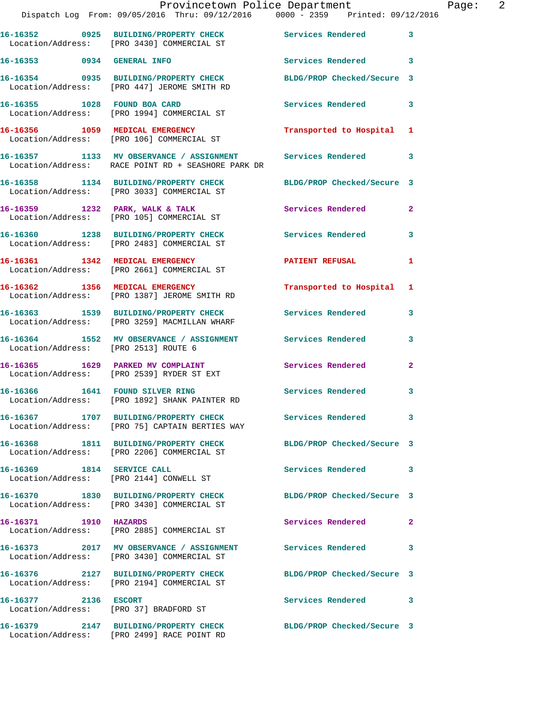|                                      | Provincetown Police Department<br>Dispatch Log From: 09/05/2016 Thru: 09/12/2016 0000 - 2359 Printed: 09/12/2016 |                            |              |
|--------------------------------------|------------------------------------------------------------------------------------------------------------------|----------------------------|--------------|
|                                      | 16-16352 0925 BUILDING/PROPERTY CHECK<br>Location/Address: [PRO 3430] COMMERCIAL ST                              | Services Rendered          | $\mathbf{3}$ |
| 16-16353 0934 GENERAL INFO           |                                                                                                                  | Services Rendered 3        |              |
|                                      | 16-16354 0935 BUILDING/PROPERTY CHECK<br>Location/Address: [PRO 447] JEROME SMITH RD                             | BLDG/PROP Checked/Secure 3 |              |
| 16-16355 1028 FOUND BOA CARD         | Location/Address: [PRO 1994] COMMERCIAL ST                                                                       | Services Rendered          | 3            |
|                                      | 16-16356 1059 MEDICAL EMERGENCY<br>Location/Address: [PRO 106] COMMERCIAL ST                                     | Transported to Hospital 1  |              |
|                                      | 16-16357 1133 MV OBSERVANCE / ASSIGNMENT<br>Location/Address: RACE POINT RD + SEASHORE PARK DR                   | Services Rendered          | $\mathbf{3}$ |
|                                      | 16-16358 1134 BUILDING/PROPERTY CHECK<br>Location/Address: [PRO 3033] COMMERCIAL ST                              | BLDG/PROP Checked/Secure 3 |              |
|                                      | 16-16359 1232 PARK, WALK & TALK<br>Location/Address: [PRO 105] COMMERCIAL ST                                     | Services Rendered          | $\mathbf{2}$ |
|                                      | 16-16360 1238 BUILDING/PROPERTY CHECK<br>Location/Address: [PRO 2483] COMMERCIAL ST                              | <b>Services Rendered</b>   | $\mathbf{3}$ |
|                                      | 16-16361 1342 MEDICAL EMERGENCY<br>Location/Address: [PRO 2661] COMMERCIAL ST                                    | <b>PATIENT REFUSAL</b>     | 1            |
|                                      | 16-16362 1356 MEDICAL EMERGENCY<br>Location/Address: [PRO 1387] JEROME SMITH RD                                  | Transported to Hospital 1  |              |
|                                      | 16-16363 1539 BUILDING/PROPERTY CHECK<br>Location/Address: [PRO 3259] MACMILLAN WHARF                            | Services Rendered          | 3            |
| Location/Address: [PRO 2513] ROUTE 6 | 16-16364 1552 MV OBSERVANCE / ASSIGNMENT Services Rendered                                                       |                            | 3            |
|                                      | 16-16365 1629 PARKED MV COMPLAINT<br>Location/Address: [PRO 2539] RYDER ST EXT                                   | Services Rendered          | $\mathbf{2}$ |
| 16-16366 1641 FOUND SILVER RING      | Location/Address: [PRO 1892] SHANK PAINTER RD                                                                    | Services Rendered          | $\mathbf{3}$ |
|                                      | Location/Address: [PRO 75] CAPTAIN BERTIES WAY                                                                   | Services Rendered          | 3            |
|                                      | 16-16368 1811 BUILDING/PROPERTY CHECK<br>Location/Address: [PRO 2206] COMMERCIAL ST                              | BLDG/PROP Checked/Secure 3 |              |
| 16-16369 1814 SERVICE CALL           | Location/Address: [PRO 2144] CONWELL ST                                                                          | Services Rendered 3        |              |
|                                      | 16-16370 1830 BUILDING/PROPERTY CHECK<br>Location/Address: [PRO 3430] COMMERCIAL ST                              | BLDG/PROP Checked/Secure 3 |              |
| 16-16371 1910 HAZARDS                | Location/Address: [PRO 2885] COMMERCIAL ST                                                                       | Services Rendered          | $\mathbf{2}$ |
|                                      | 16-16373 2017 MV OBSERVANCE / ASSIGNMENT<br>Location/Address: [PRO 3430] COMMERCIAL ST                           | Services Rendered 3        |              |
|                                      | 16-16376 2127 BUILDING/PROPERTY CHECK<br>Location/Address: [PRO 2194] COMMERCIAL ST                              | BLDG/PROP Checked/Secure 3 |              |
| 16-16377 2136 ESCORT                 | Location/Address: [PRO 37] BRADFORD ST                                                                           | Services Rendered 3        |              |
|                                      | 16-16379 2147 BUILDING/PROPERTY CHECK<br>Location/Address: [PRO 2499] RACE POINT RD                              | BLDG/PROP Checked/Secure 3 |              |

Page: 2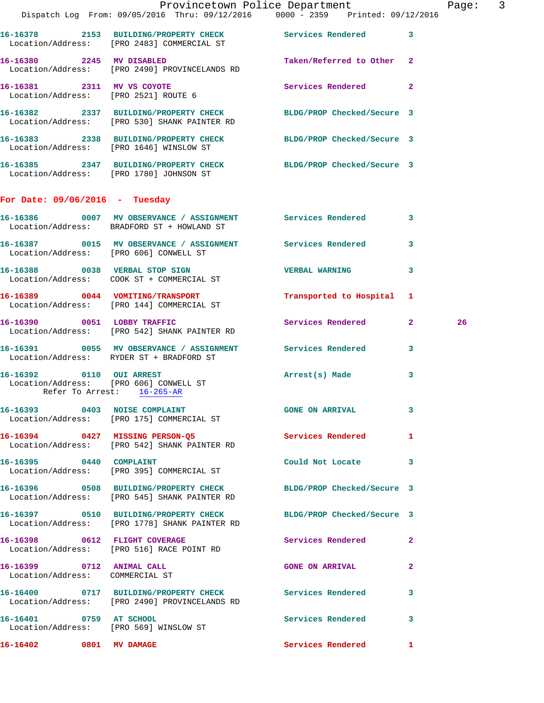|                                                                    | Dispatch Log From: 09/05/2016 Thru: 09/12/2016 0000 - 2359 Printed: 09/12/2016                                    | Provincetown Police Department |              | Page: 3 |  |
|--------------------------------------------------------------------|-------------------------------------------------------------------------------------------------------------------|--------------------------------|--------------|---------|--|
|                                                                    | 16-16378 2153 BUILDING/PROPERTY CHECK Services Rendered 3                                                         |                                |              |         |  |
|                                                                    | Location/Address: [PRO 2483] COMMERCIAL ST                                                                        |                                |              |         |  |
|                                                                    | 16-16380 2245 MV DISABLED<br>Location/Address: [PRO 2490] PROVINCELANDS RD                                        | Taken/Referred to Other 2      |              |         |  |
| 16-16381 2311 MV VS COYOTE<br>Location/Address: [PRO 2521] ROUTE 6 |                                                                                                                   | Services Rendered 2            |              |         |  |
|                                                                    | 16-16382 2337 BUILDING/PROPERTY CHECK BLDG/PROP Checked/Secure 3<br>Location/Address: [PRO 530] SHANK PAINTER RD  |                                |              |         |  |
|                                                                    | 16-16383 2338 BUILDING/PROPERTY CHECK BLDG/PROP Checked/Secure 3<br>Location/Address: [PRO 1646] WINSLOW ST       |                                |              |         |  |
|                                                                    | 16-16385 2347 BUILDING/PROPERTY CHECK BLDG/PROP Checked/Secure 3<br>Location/Address: [PRO 1780] JOHNSON ST       |                                |              |         |  |
| For Date: $09/06/2016$ - Tuesday                                   |                                                                                                                   |                                |              |         |  |
|                                                                    | 16-16386 0007 MV OBSERVANCE / ASSIGNMENT Services Rendered 3<br>Location/Address: BRADFORD ST + HOWLAND ST        |                                |              |         |  |
|                                                                    | 16-16387 0015 MV OBSERVANCE / ASSIGNMENT Services Rendered 3<br>Location/Address: [PRO 606] CONWELL ST            |                                |              |         |  |
|                                                                    | 16-16388 0038 VERBAL STOP SIGN<br>Location/Address: COOK ST + COMMERCIAL ST                                       | <b>VERBAL WARNING</b>          | 3            |         |  |
|                                                                    | 16-16389 0044 VOMITING/TRANSPORT<br>Location/Address: [PRO 144] COMMERCIAL ST                                     | Transported to Hospital 1      |              |         |  |
|                                                                    | 16-16390 0051 LOBBY TRAFFIC<br>Location/Address: [PRO 542] SHANK PAINTER RD                                       | Services Rendered 2            |              | 26      |  |
|                                                                    | 16-16391 0055 MV OBSERVANCE / ASSIGNMENT Services Rendered 3<br>Location/Address: RYDER ST + BRADFORD ST          |                                |              |         |  |
|                                                                    | 16-16392 0110 OUI ARREST<br>Location/Address: [PRO 606] CONWELL ST<br>Refer To Arrest: 16-265-AR                  | Arrest(s) Made                 | $\mathbf{3}$ |         |  |
|                                                                    | 16-16393 0403 NOISE COMPLAINT<br>Location/Address: [PRO 175] COMMERCIAL ST                                        | <b>GONE ON ARRIVAL</b>         | 3            |         |  |
|                                                                    | 16-16394 0427 MISSING PERSON-Q5<br>Location/Address: [PRO 542] SHANK PAINTER RD                                   | <b>Services Rendered</b> 1     |              |         |  |
| 16-16395 0440 COMPLAINT                                            | Location/Address: [PRO 395] COMMERCIAL ST                                                                         | Could Not Locate 3             |              |         |  |
|                                                                    | 16-16396 0508 BUILDING/PROPERTY CHECK<br>Location/Address: [PRO 545] SHANK PAINTER RD                             | BLDG/PROP Checked/Secure 3     |              |         |  |
|                                                                    | 16-16397 0510 BUILDING/PROPERTY CHECK BLDG/PROP Checked/Secure 3<br>Location/Address: [PRO 1778] SHANK PAINTER RD |                                |              |         |  |
|                                                                    | 16-16398 0612 FLIGHT COVERAGE<br>Location/Address: [PRO 516] RACE POINT RD                                        | Services Rendered              | $\mathbf{2}$ |         |  |
| 16-16399 0712 ANIMAL CALL<br>Location/Address: COMMERCIAL ST       |                                                                                                                   | <b>GONE ON ARRIVAL</b>         | $\mathbf{2}$ |         |  |
|                                                                    | 16-16400 0717 BUILDING/PROPERTY CHECK Services Rendered<br>Location/Address: [PRO 2490] PROVINCELANDS RD          |                                | 3            |         |  |
| 16-16401 0759 AT SCHOOL                                            | Location/Address: [PRO 569] WINSLOW ST                                                                            | Services Rendered              | 3            |         |  |
| 16-16402 0801 MV DAMAGE                                            |                                                                                                                   | Services Rendered 1            |              |         |  |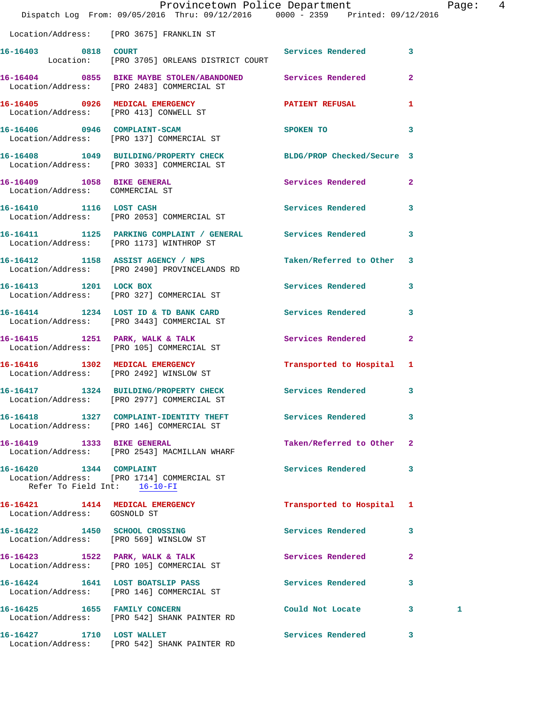|                                                               | Provincetown Police Department The Rage: 4<br>Dispatch Log From: 09/05/2016 Thru: 09/12/2016 0000 - 2359 Printed: 09/12/2016 |                           |                         |   |  |
|---------------------------------------------------------------|------------------------------------------------------------------------------------------------------------------------------|---------------------------|-------------------------|---|--|
|                                                               | Location/Address: [PRO 3675] FRANKLIN ST                                                                                     |                           |                         |   |  |
| 16-16403 0818 COURT                                           | Location: [PRO 3705] ORLEANS DISTRICT COURT                                                                                  | Services Rendered 3       |                         |   |  |
|                                                               | 16-16404 0855 BIKE MAYBE STOLEN/ABANDONED Services Rendered 2<br>Location/Address: [PRO 2483] COMMERCIAL ST                  |                           |                         |   |  |
|                                                               | 16-16405 0926 MEDICAL EMERGENCY<br>Location/Address: [PRO 413] CONWELL ST                                                    | PATIENT REFUSAL 1         |                         |   |  |
|                                                               | 16-16406 0946 COMPLAINT-SCAM<br>Location/Address: [PRO 137] COMMERCIAL ST                                                    | SPOKEN TO                 | 3                       |   |  |
|                                                               | 16-16408 1049 BUILDING/PROPERTY CHECK BLDG/PROP Checked/Secure 3<br>Location/Address: [PRO 3033] COMMERCIAL ST               |                           |                         |   |  |
| 16-16409 1058 BIKE GENERAL<br>Location/Address: COMMERCIAL ST |                                                                                                                              | Services Rendered 2       |                         |   |  |
|                                                               | 16-16410 1116 LOST CASH<br>Location/Address: [PRO 2053] COMMERCIAL ST                                                        | Services Rendered 3       |                         |   |  |
|                                                               | 16-16411 1125 PARKING COMPLAINT / GENERAL Services Rendered 3<br>Location/Address: [PRO 1173] WINTHROP ST                    |                           |                         |   |  |
|                                                               | 16-16412 1158 ASSIST AGENCY / NPS Taken/Referred to Other 3<br>Location/Address: [PRO 2490] PROVINCELANDS RD                 |                           |                         |   |  |
|                                                               | 16-16413 1201 LOCK BOX<br>Location/Address: [PRO 327] COMMERCIAL ST                                                          | Services Rendered 3       |                         |   |  |
|                                                               | 16-16414 1234 LOST ID & TD BANK CARD Services Rendered 3<br>Location/Address: [PRO 3443] COMMERCIAL ST                       |                           |                         |   |  |
|                                                               | 16-16415 1251 PARK, WALK & TALK<br>Location/Address: [PRO 105] COMMERCIAL ST                                                 | Services Rendered         | $\mathbf{2}$            |   |  |
|                                                               | 16-16416 1302 MEDICAL EMERGENCY<br>Location/Address: [PRO 2492] WINSLOW ST                                                   | Transported to Hospital 1 |                         |   |  |
|                                                               | 16-16417 1324 BUILDING/PROPERTY CHECK<br>Location/Address: [PRO 2977] COMMERCIAL ST                                          | <b>Services Rendered</b>  | $\overline{\mathbf{3}}$ |   |  |
|                                                               | 16-16418 1327 COMPLAINT-IDENTITY THEFT Services Rendered<br>Location/Address: [PRO 146] COMMERCIAL ST                        |                           | 3                       |   |  |
|                                                               | 16-16419 1333 BIKE GENERAL<br>Location/Address: [PRO 2543] MACMILLAN WHARF                                                   | Taken/Referred to Other 2 |                         |   |  |
| 16-16420 1344 COMPLAINT<br>Refer To Field Int: 16-10-FI       | Location/Address: [PRO 1714] COMMERCIAL ST                                                                                   | Services Rendered 3       |                         |   |  |
| Location/Address: GOSNOLD ST                                  | 16-16421 1414 MEDICAL EMERGENCY                                                                                              | Transported to Hospital 1 |                         |   |  |
|                                                               | 16-16422 1450 SCHOOL CROSSING<br>Location/Address: [PRO 569] WINSLOW ST                                                      | Services Rendered 3       |                         |   |  |
|                                                               | 16-16423 1522 PARK, WALK & TALK<br>Location/Address: [PRO 105] COMMERCIAL ST                                                 | Services Rendered         | $\mathbf{2}$            |   |  |
|                                                               | 16-16424 1641 LOST BOATSLIP PASS<br>Location/Address: [PRO 146] COMMERCIAL ST                                                | Services Rendered         | $\overline{\mathbf{3}}$ |   |  |
|                                                               | 16-16425    1655    FAMILY CONCERN<br>Location/Address: [PRO 542] SHANK PAINTER RD                                           | Could Not Locate 3        |                         | 1 |  |
| 16-16427 1710 LOST WALLET                                     |                                                                                                                              | Services Rendered 3       |                         |   |  |

Location/Address: [PRO 542] SHANK PAINTER RD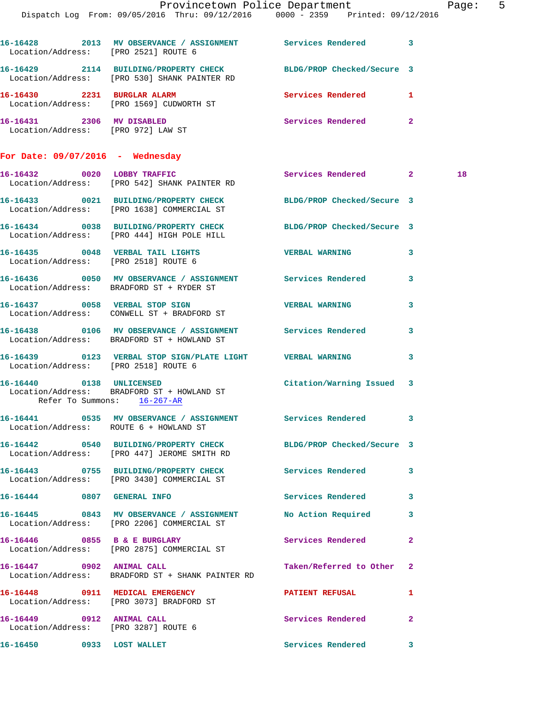|                                                                   | Dispatch Log From: 09/05/2016 Thru: 09/12/2016 0000 - 2359 Printed: 09/12/2016                                   | Provincetown Police Department |              | Page: 5 |  |
|-------------------------------------------------------------------|------------------------------------------------------------------------------------------------------------------|--------------------------------|--------------|---------|--|
|                                                                   |                                                                                                                  |                                |              |         |  |
|                                                                   | 16-16428 2013 MV OBSERVANCE / ASSIGNMENT Services Rendered 3<br>Location/Address: [PRO 2521] ROUTE 6             |                                |              |         |  |
|                                                                   | 16-16429 2114 BUILDING/PROPERTY CHECK BLDG/PROP Checked/Secure 3<br>Location/Address: [PRO 530] SHANK PAINTER RD |                                |              |         |  |
|                                                                   | 16-16430 2231 BURGLAR ALARM<br>Location/Address: [PRO 1569] CUDWORTH ST                                          | Services Rendered 1            |              |         |  |
|                                                                   | 16-16431 2306 MV DISABLED<br>Location/Address: [PRO 972] LAW ST                                                  | Services Rendered 2            |              |         |  |
| For Date: $09/07/2016$ - Wednesday                                |                                                                                                                  |                                |              |         |  |
|                                                                   | 16-16432 0020 LOBBY TRAFFIC<br>Location/Address: [PRO 542] SHANK PAINTER RD                                      | Services Rendered 2            |              | 18      |  |
|                                                                   | 16-16433 0021 BUILDING/PROPERTY CHECK BLDG/PROP Checked/Secure 3<br>Location/Address: [PRO 1638] COMMERCIAL ST   |                                |              |         |  |
|                                                                   | 16-16434 0038 BUILDING/PROPERTY CHECK BLDG/PROP Checked/Secure 3<br>Location/Address: [PRO 444] HIGH POLE HILL   |                                |              |         |  |
|                                                                   | 16-16435 0048 VERBAL TAIL LIGHTS   VERBAL WARNING   3<br>Location/Address: [PRO 2518] ROUTE 6                    |                                |              |         |  |
|                                                                   | 16-16436 0050 MV OBSERVANCE / ASSIGNMENT Services Rendered 3<br>Location/Address: BRADFORD ST + RYDER ST         |                                |              |         |  |
|                                                                   | 16-16437 0058 VERBAL STOP SIGN<br>Location/Address: CONWELL ST + BRADFORD ST                                     | <b>VERBAL WARNING</b>          | $\mathbf{3}$ |         |  |
|                                                                   | 16-16438 0106 MV OBSERVANCE / ASSIGNMENT Services Rendered 3<br>Location/Address: BRADFORD ST + HOWLAND ST       |                                |              |         |  |
| Location/Address: [PRO 2518] ROUTE 6                              | 16-16439 0123 VERBAL STOP SIGN/PLATE LIGHT VERBAL WARNING                                                        |                                | $\mathbf{3}$ |         |  |
|                                                                   | 16-16440 0138 UNLICENSED<br>Location/Address: BRADFORD ST + HOWLAND ST<br>Reter To Summons: 16-267-AR            | Citation/Warning Issued 3      |              |         |  |
| Location/Address: ROUTE 6 + HOWLAND ST                            | 16-16441 0535 MV OBSERVANCE / ASSIGNMENT Services Rendered 3                                                     |                                |              |         |  |
|                                                                   | 16-16442 0540 BUILDING/PROPERTY CHECK<br>Location/Address: [PRO 447] JEROME SMITH RD                             | BLDG/PROP Checked/Secure 3     |              |         |  |
|                                                                   | 16-16443 0755 BUILDING/PROPERTY CHECK Services Rendered 3<br>Location/Address: [PRO 3430] COMMERCIAL ST          |                                |              |         |  |
| 16-16444 0807 GENERAL INFO                                        |                                                                                                                  | Services Rendered 3            |              |         |  |
|                                                                   | 16-16445 0843 MV OBSERVANCE / ASSIGNMENT<br>Location/Address: [PRO 2206] COMMERCIAL ST                           | No Action Required 3           |              |         |  |
|                                                                   | 16-16446 0855 B & E BURGLARY<br>Location/Address: [PRO 2875] COMMERCIAL ST                                       | Services Rendered              | $\mathbf{2}$ |         |  |
| 16-16447 0902 ANIMAL CALL                                         | Location/Address: BRADFORD ST + SHANK PAINTER RD                                                                 | Taken/Referred to Other 2      |              |         |  |
|                                                                   | 16-16448 0911 MEDICAL EMERGENCY<br>Location/Address: [PRO 3073] BRADFORD ST                                      | <b>PATIENT REFUSAL</b>         | 1.           |         |  |
| 16-16449 0912 ANIMAL CALL<br>Location/Address: [PRO 3287] ROUTE 6 |                                                                                                                  | Services Rendered              | $\mathbf{2}$ |         |  |
| 16-16450 0933 LOST WALLET                                         |                                                                                                                  | Services Rendered 3            |              |         |  |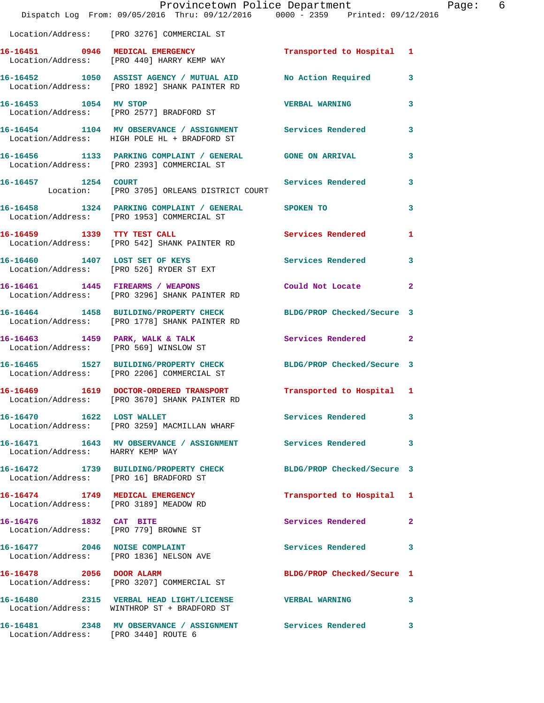|                                      | Dispatch Log From: 09/05/2016 Thru: 09/12/2016 0000 - 2359 Printed: 09/12/2016                                    | Provincetown Police Department | Page: 6      |  |
|--------------------------------------|-------------------------------------------------------------------------------------------------------------------|--------------------------------|--------------|--|
|                                      | Location/Address: [PRO 3276] COMMERCIAL ST                                                                        |                                |              |  |
|                                      | 16-16451 0946 MEDICAL EMERGENCY<br>Location/Address: [PRO 440] HARRY KEMP WAY                                     | Transported to Hospital 1      |              |  |
|                                      | 16-16452 1050 ASSIST AGENCY / MUTUAL AID No Action Required 3<br>Location/Address: [PRO 1892] SHANK PAINTER RD    |                                |              |  |
| 16-16453 1054 MV STOP                | Location/Address: [PRO 2577] BRADFORD ST                                                                          | VERBAL WARNING 3               |              |  |
|                                      | 16-16454 1104 MV OBSERVANCE / ASSIGNMENT Services Rendered<br>Location/Address: HIGH POLE HL + BRADFORD ST        |                                | $\mathbf{3}$ |  |
|                                      | 16-16456 1133 PARKING COMPLAINT / GENERAL GONE ON ARRIVAL 3<br>Location/Address: [PRO 2393] COMMERCIAL ST         |                                |              |  |
| 16-16457 1254 COURT                  | Location: [PRO 3705] ORLEANS DISTRICT COURT                                                                       | Services Rendered              | 3            |  |
|                                      | 16-16458 1324 PARKING COMPLAINT / GENERAL SPOKEN TO<br>Location/Address: [PRO 1953] COMMERCIAL ST                 |                                | 3            |  |
|                                      | 16-16459 1339 TTY TEST CALL<br>Location/Address: [PRO 542] SHANK PAINTER RD                                       | Services Rendered              | 1            |  |
|                                      | 16-16460 1407 LOST SET OF KEYS<br>Location/Address: [PRO 526] RYDER ST EXT                                        | Services Rendered 3            |              |  |
|                                      | 16-16461 1445 FIREARMS / WEAPONS<br>Location/Address: [PRO 3296] SHANK PAINTER RD                                 | Could Not Locate 2             |              |  |
|                                      | 16-16464 1458 BUILDING/PROPERTY CHECK BLDG/PROP Checked/Secure 3<br>Location/Address: [PRO 1778] SHANK PAINTER RD |                                |              |  |
|                                      | 16-16463 1459 PARK, WALK & TALK<br>Location/Address: [PRO 569] WINSLOW ST                                         | Services Rendered 2            |              |  |
|                                      | 16-16465 1527 BUILDING/PROPERTY CHECK BLDG/PROP Checked/Secure 3<br>Location/Address: [PRO 2206] COMMERCIAL ST    |                                |              |  |
|                                      | 16-16469 1619 DOCTOR-ORDERED TRANSPORT Transported to Hospital 1<br>Location/Address: [PRO 3670] SHANK PAINTER RD |                                |              |  |
|                                      | 16-16470 1622 LOST WALLET<br>Location/Address: [PRO 3259] MACMILLAN WHARF                                         | Services Rendered 3            |              |  |
| Location/Address: HARRY KEMP WAY     | 16-16471 1643 MV OBSERVANCE / ASSIGNMENT Services Rendered 3                                                      |                                |              |  |
|                                      | 16-16472 1739 BUILDING/PROPERTY CHECK BLDG/PROP Checked/Secure 3<br>Location/Address: [PRO 16] BRADFORD ST        |                                |              |  |
|                                      | 16-16474 1749 MEDICAL EMERGENCY<br>Location/Address: [PRO 3189] MEADOW RD                                         | Transported to Hospital 1      |              |  |
| 16-16476 1832 CAT BITE               | Location/Address: [PRO 779] BROWNE ST                                                                             | Services Rendered 2            |              |  |
|                                      | 16-16477 2046 NOISE COMPLAINT<br>Location/Address: [PRO 1836] NELSON AVE                                          | Services Rendered 3            |              |  |
| 16-16478 2056 DOOR ALARM             | Location/Address: [PRO 3207] COMMERCIAL ST                                                                        | BLDG/PROP Checked/Secure 1     |              |  |
|                                      | 16-16480 2315 VERBAL HEAD LIGHT/LICENSE WERBAL WARNING<br>Location/Address: WINTHROP ST + BRADFORD ST             |                                | 3            |  |
| Location/Address: [PRO 3440] ROUTE 6 | 16-16481 2348 MV OBSERVANCE / ASSIGNMENT Services Rendered                                                        |                                | 3            |  |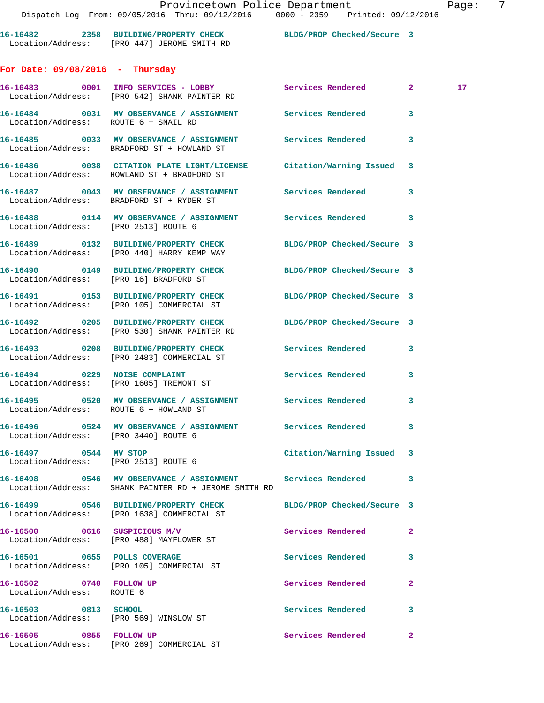**For Date: 09/08/2016 - Thursday 16-16483 0001 INFO SERVICES - LOBBY Services Rendered 2 17**  Location/Address: [PRO 542] SHANK PAINTER RD **16-16484 0031 MV OBSERVANCE / ASSIGNMENT Services Rendered 3**  Location/Address: ROUTE 6 + SNAIL RD **16-16485 0033 MV OBSERVANCE / ASSIGNMENT Services Rendered 3**  Location/Address: BRADFORD ST + HOWLAND ST **16-16486 0038 CITATION PLATE LIGHT/LICENSE Citation/Warning Issued 3** 

 Location/Address: HOWLAND ST + BRADFORD ST **16-16487 0043 MV OBSERVANCE / ASSIGNMENT Services Rendered 3**  Location/Address: BRADFORD ST + RYDER ST

**16-16488 0114 MV OBSERVANCE / ASSIGNMENT Services Rendered 3**  Location/Address: [PRO 2513] ROUTE 6 **16-16489 0132 BUILDING/PROPERTY CHECK BLDG/PROP Checked/Secure 3** 

 Location/Address: [PRO 440] HARRY KEMP WAY **16-16490 0149 BUILDING/PROPERTY CHECK BLDG/PROP Checked/Secure 3** 

Location/Address: [PRO 16] BRADFORD ST

Location/Address: [PRO 105] COMMERCIAL ST

**16-16492 0205 BUILDING/PROPERTY CHECK BLDG/PROP Checked/Secure 3**  Location/Address: [PRO 530] SHANK PAINTER RD

**16-16493 0208 BUILDING/PROPERTY CHECK Services Rendered 3**  Location/Address: [PRO 2483] COMMERCIAL ST

16-16494 **0229 NOISE COMPLAINT** Services Rendered 3 Location/Address: [PRO 1605] TREMONT ST

**16-16495 0520 MV OBSERVANCE / ASSIGNMENT Services Rendered 3**  Location/Address: ROUTE 6 + HOWLAND ST

**16-16496 0524 MV OBSERVANCE / ASSIGNMENT Services Rendered 3**  Location/Address: [PRO 3440] ROUTE 6

Location/Address: [PRO 2513] ROUTE 6

**16-16498 0546 MV OBSERVANCE / ASSIGNMENT Services Rendered 3**  Location/Address: SHANK PAINTER RD + JEROME SMITH RD

Location/Address: [PRO 1638] COMMERCIAL ST

**16-16500 0616 SUSPICIOUS M/V Services Rendered 2**  Location/Address: [PRO 488] MAYFLOWER ST

Location/Address: ROUTE 6

**16-16503 0813 SCHOOL Services Rendered 3** 

Location/Address: [PRO 269] COMMERCIAL ST

**16-16491 0153 BUILDING/PROPERTY CHECK BLDG/PROP Checked/Secure 3** 

**16-16497 0544 MV STOP Citation/Warning Issued 3** 

**16-16499 0546 BUILDING/PROPERTY CHECK BLDG/PROP Checked/Secure 3** 

**16-16501 0655 POLLS COVERAGE Services Rendered 3**  Location/Address: [PRO 105] COMMERCIAL ST

**16-16502 0740 FOLLOW UP Services Rendered 2** 

Location/Address: [PRO 569] WINSLOW ST

16-16505 0855 FOLLOW UP **Services Rendered** 2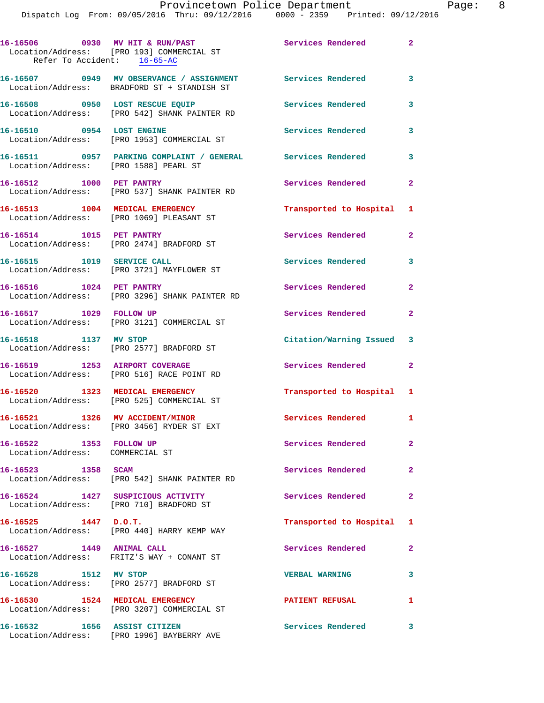| 2016 |  |  |
|------|--|--|

| Refer To Accident: 16-65-AC                                | 16-16506 0930 MV HIT & RUN/PAST<br>Location/Address: [PRO 193] COMMERCIAL ST                              | Services Rendered         | $\overline{2}$          |
|------------------------------------------------------------|-----------------------------------------------------------------------------------------------------------|---------------------------|-------------------------|
|                                                            | 16-16507 0949 MV OBSERVANCE / ASSIGNMENT Services Rendered<br>Location/Address: BRADFORD ST + STANDISH ST |                           | 3                       |
| 16-16508 0950 LOST RESCUE EQUIP                            | Location/Address: [PRO 542] SHANK PAINTER RD                                                              | <b>Services Rendered</b>  | $\overline{\mathbf{3}}$ |
|                                                            | 16-16510 0954 LOST ENGINE<br>Location/Address: [PRO 1953] COMMERCIAL ST                                   | Services Rendered         | 3                       |
| Location/Address: [PRO 1588] PEARL ST                      | 16-16511 0957 PARKING COMPLAINT / GENERAL Services Rendered                                               |                           | $\overline{\mathbf{3}}$ |
|                                                            | 16-16512 1000 PET PANTRY<br>Location/Address: [PRO 537] SHANK PAINTER RD                                  | Services Rendered         | $\mathbf{2}$            |
|                                                            | 16-16513 1004 MEDICAL EMERGENCY<br>Location/Address: [PRO 1069] PLEASANT ST                               | Transported to Hospital 1 |                         |
| 16-16514 1015 PET PANTRY                                   | Location/Address: [PRO 2474] BRADFORD ST                                                                  | Services Rendered         | $\mathbf{2}$            |
| 16-16515 1019 SERVICE CALL                                 | Location/Address: [PRO 3721] MAYFLOWER ST                                                                 | Services Rendered         | $\mathbf{3}$            |
| 16-16516 1024 PET PANTRY                                   | Location/Address: [PRO 3296] SHANK PAINTER RD                                                             | Services Rendered         | $\overline{2}$          |
| 16-16517 1029 FOLLOW UP                                    | Location/Address: [PRO 3121] COMMERCIAL ST                                                                | Services Rendered         | $\mathbf{2}$            |
| 16-16518 1137 MV STOP                                      | Location/Address: [PRO 2577] BRADFORD ST                                                                  | Citation/Warning Issued 3 |                         |
|                                                            | 16-16519 1253 AIRPORT COVERAGE<br>Location/Address: [PRO 516] RACE POINT RD                               | Services Rendered         | $\mathbf{2}$            |
|                                                            | 16-16520 1323 MEDICAL EMERGENCY<br>Location/Address: [PRO 525] COMMERCIAL ST                              | Transported to Hospital 1 |                         |
|                                                            | 16-16521 1326 MV ACCIDENT/MINOR<br>Location/Address: [PRO 3456] RYDER ST EXT                              | <b>Services Rendered</b>  | 1.                      |
| 16-16522 1353 FOLLOW UP<br>Location/Address: COMMERCIAL ST |                                                                                                           | Services Rendered         | $\mathbf{2}$            |
| 16-16523 1358 SCAM                                         | Location/Address: [PRO 542] SHANK PAINTER RD                                                              | Services Rendered         | $\mathbf{2}$            |
|                                                            | 16-16524 1427 SUSPICIOUS ACTIVITY<br>Location/Address: [PRO 710] BRADFORD ST                              | Services Rendered         | $\mathbf{2}$            |
| 16-16525 1447 D.O.T.                                       | Location/Address: [PRO 440] HARRY KEMP WAY                                                                | Transported to Hospital 1 |                         |
| 16-16527 1449 ANIMAL CALL                                  | Location/Address: FRITZ'S WAY + CONANT ST                                                                 | Services Rendered         | $\mathbf{2}$            |
| 16-16528 1512 MV STOP                                      | Location/Address: [PRO 2577] BRADFORD ST                                                                  | <b>VERBAL WARNING</b>     | 3                       |
|                                                            | 16-16530 1524 MEDICAL EMERGENCY<br>Location/Address: [PRO 3207] COMMERCIAL ST                             | <b>PATIENT REFUSAL</b>    | 1                       |
| 16-16532 1656 ASSIST CITIZEN                               | Location/Address: [PRO 1996] BAYBERRY AVE                                                                 | Services Rendered         | 3                       |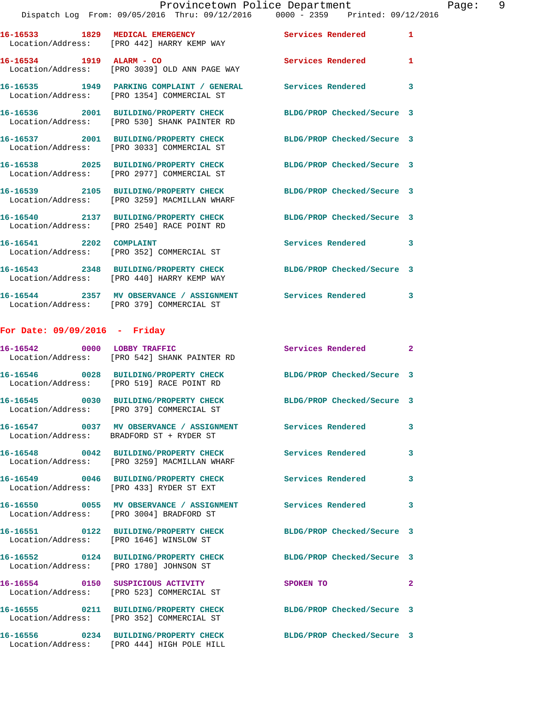|                          | 16-16533 1829 MEDICAL EMERGENCY<br>Location/Address: [PRO 442] HARRY KEMP WAY                             | <b>Services Rendered</b>   | $\mathbf{1}$ |
|--------------------------|-----------------------------------------------------------------------------------------------------------|----------------------------|--------------|
| 16-16534 1919 ALARM - CO | Location/Address: [PRO 3039] OLD ANN PAGE WAY                                                             | <b>Services Rendered</b>   | $\mathbf{1}$ |
|                          | 16-16535 1949 PARKING COMPLAINT / GENERAL Services Rendered<br>Location/Address: [PRO 1354] COMMERCIAL ST |                            | $\mathbf{3}$ |
|                          | 16-16536 2001 BUILDING/PROPERTY CHECK<br>Location/Address: [PRO 530] SHANK PAINTER RD                     | BLDG/PROP Checked/Secure 3 |              |
|                          | 16-16537 2001 BUILDING/PROPERTY CHECK<br>Location/Address: [PRO 3033] COMMERCIAL ST                       | BLDG/PROP Checked/Secure 3 |              |
|                          | 16-16538 2025 BUILDING/PROPERTY CHECK<br>Location/Address: [PRO 2977] COMMERCIAL ST                       | BLDG/PROP Checked/Secure 3 |              |
|                          | 16-16539 2105 BUILDING/PROPERTY CHECK<br>Location/Address: [PRO 3259] MACMILLAN WHARF                     | BLDG/PROP Checked/Secure 3 |              |
|                          | 16-16540 2137 BUILDING/PROPERTY CHECK<br>Location/Address: [PRO 2540] RACE POINT RD                       | BLDG/PROP Checked/Secure 3 |              |
| 16-16541 2202 COMPLAINT  | Location/Address: [PRO 352] COMMERCIAL ST                                                                 | <b>Services Rendered</b>   | 3            |
|                          | 16-16543 2348 BUILDING/PROPERTY CHECK<br>Location/Address: [PRO 440] HARRY KEMP WAY                       | BLDG/PROP Checked/Secure 3 |              |
|                          | 16-16544 2357 MV OBSERVANCE / ASSIGNMENT Services Rendered 3<br>Location/Address: [PRO 379] COMMERCIAL ST |                            |              |
|                          |                                                                                                           |                            |              |

## **For Date: 09/09/2016 - Friday**

|                   | 16-16542 0000 LOBBY TRAFFIC<br>Location/Address: [PRO 542] SHANK PAINTER RD                                 | Services Rendered 2        |              |
|-------------------|-------------------------------------------------------------------------------------------------------------|----------------------------|--------------|
|                   | 16-16546 0028 BUILDING/PROPERTY CHECK<br>Location/Address: [PRO 519] RACE POINT RD                          | BLDG/PROP Checked/Secure 3 |              |
|                   | Location/Address: [PRO 379] COMMERCIAL ST                                                                   | BLDG/PROP Checked/Secure 3 |              |
|                   | Location/Address: BRADFORD ST + RYDER ST                                                                    |                            | 3            |
|                   | Location/Address: [PRO 3259] MACMILLAN WHARF                                                                | <b>Services Rendered</b>   | $\mathbf{3}$ |
|                   | Location/Address: [PRO 433] RYDER ST EXT                                                                    | <b>Services Rendered</b>   | 3            |
|                   | 16-16550 0055 MV OBSERVANCE / ASSIGNMENT Services Rendered<br>Location/Address: [PRO 3004] BRADFORD ST      |                            | $\mathbf{3}$ |
| Location/Address: | 16-16551 0122 BUILDING/PROPERTY CHECK<br>[PRO 1646] WINSLOW ST                                              | BLDG/PROP Checked/Secure 3 |              |
|                   | 16-16552 0124 BUILDING/PROPERTY CHECK BLDG/PROP Checked/Secure 3<br>Location/Address: [PRO 1780] JOHNSON ST |                            |              |
|                   | 16-16554 0150 SUSPICIOUS ACTIVITY<br>Location/Address: [PRO 523] COMMERCIAL ST                              | SPOKEN TO                  | $\mathbf{2}$ |
|                   | 16-16555 0211 BUILDING/PROPERTY CHECK<br>Location/Address: [PRO 352] COMMERCIAL ST                          | BLDG/PROP Checked/Secure 3 |              |
|                   | 16-16556 0234 BUILDING/PROPERTY CHECK<br>Location/Address: [PRO 444] HIGH POLE HILL                         | BLDG/PROP Checked/Secure 3 |              |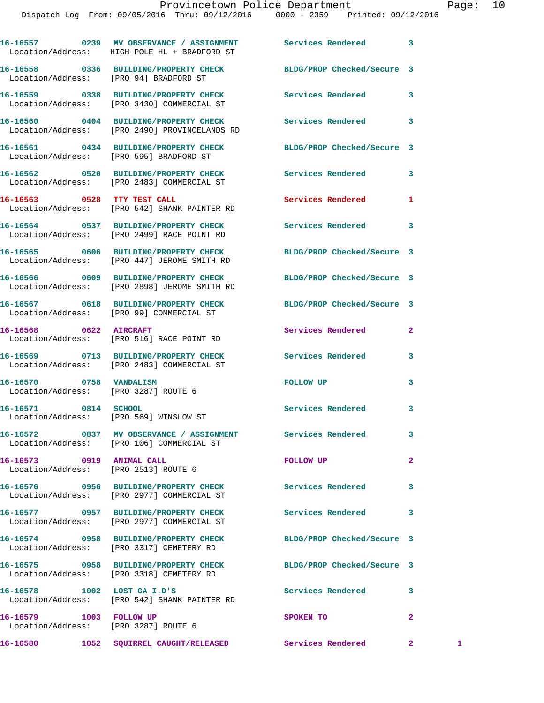|                                                                | 16-16557 0239 MV OBSERVANCE / ASSIGNMENT Services Rendered<br>Location/Address: HIGH POLE HL + BRADFORD ST       |                            | 3              |   |
|----------------------------------------------------------------|------------------------------------------------------------------------------------------------------------------|----------------------------|----------------|---|
|                                                                | 16-16558 0336 BUILDING/PROPERTY CHECK BLDG/PROP Checked/Secure 3<br>Location/Address: [PRO 94] BRADFORD ST       |                            |                |   |
|                                                                | 16-16559 0338 BUILDING/PROPERTY CHECK<br>Location/Address: [PRO 3430] COMMERCIAL ST                              | <b>Services Rendered</b>   | 3              |   |
|                                                                | 16-16560 0404 BUILDING/PROPERTY CHECK<br>Location/Address: [PRO 2490] PROVINCELANDS RD                           | Services Rendered          | 3              |   |
|                                                                | 16-16561 0434 BUILDING/PROPERTY CHECK<br>Location/Address: [PRO 595] BRADFORD ST                                 | BLDG/PROP Checked/Secure 3 |                |   |
|                                                                | 16-16562 0520 BUILDING/PROPERTY CHECK Services Rendered<br>Location/Address: [PRO 2483] COMMERCIAL ST            |                            | 3              |   |
| 16-16563 0528 TTY TEST CALL                                    | Location/Address: [PRO 542] SHANK PAINTER RD                                                                     | Services Rendered          | 1              |   |
|                                                                | 16-16564 0537 BUILDING/PROPERTY CHECK<br>Location/Address: [PRO 2499] RACE POINT RD                              | Services Rendered          | 3              |   |
|                                                                | 16-16565 0606 BUILDING/PROPERTY CHECK BLDG/PROP Checked/Secure 3<br>Location/Address: [PRO 447] JEROME SMITH RD  |                            |                |   |
|                                                                | 16-16566 0609 BUILDING/PROPERTY CHECK BLDG/PROP Checked/Secure 3<br>Location/Address: [PRO 2898] JEROME SMITH RD |                            |                |   |
|                                                                | 16-16567 0618 BUILDING/PROPERTY CHECK BLDG/PROP Checked/Secure 3<br>Location/Address: [PRO 99] COMMERCIAL ST     |                            |                |   |
|                                                                | 16-16568 0622 AIRCRAFT<br>Location/Address: [PRO 516] RACE POINT RD                                              | Services Rendered          | 2              |   |
|                                                                | 16-16569 0713 BUILDING/PROPERTY CHECK<br>Location/Address: [PRO 2483] COMMERCIAL ST                              | Services Rendered          | 3              |   |
| 16-16570 0758 VANDALISM                                        | Location/Address: [PRO 3287] ROUTE 6                                                                             | FOLLOW UP                  | 3              |   |
| 16-16571 0814 SCHOOL<br>Location/Address: [PRO 569] WINSLOW ST |                                                                                                                  | <b>Services Rendered</b>   | 3              |   |
|                                                                | 16-16572 0837 MV OBSERVANCE / ASSIGNMENT<br>Location/Address: [PRO 106] COMMERCIAL ST                            | Services Rendered          | 3              |   |
| 16-16573 0919 ANIMAL CALL                                      | Location/Address: [PRO 2513] ROUTE 6                                                                             | FOLLOW UP                  | $\overline{a}$ |   |
|                                                                | 16-16576 0956 BUILDING/PROPERTY CHECK<br>Location/Address: [PRO 2977] COMMERCIAL ST                              | <b>Services Rendered</b>   | 3              |   |
|                                                                | 16-16577 0957 BUILDING/PROPERTY CHECK<br>Location/Address: [PRO 2977] COMMERCIAL ST                              | Services Rendered          | 3              |   |
|                                                                | 16-16574 0958 BUILDING/PROPERTY CHECK<br>Location/Address: [PRO 3317] CEMETERY RD                                | BLDG/PROP Checked/Secure 3 |                |   |
|                                                                | 16-16575 0958 BUILDING/PROPERTY CHECK BLDG/PROP Checked/Secure 3<br>Location/Address: [PRO 3318] CEMETERY RD     |                            |                |   |
|                                                                | 16-16578 1002 LOST GA I.D'S<br>Location/Address: [PRO 542] SHANK PAINTER RD                                      | Services Rendered          | 3              |   |
| 16-16579 1003 FOLLOW UP                                        | Location/Address: [PRO 3287] ROUTE 6                                                                             | SPOKEN TO                  | $\mathbf{2}$   |   |
|                                                                |                                                                                                                  |                            | $\mathbf{2}$   | 1 |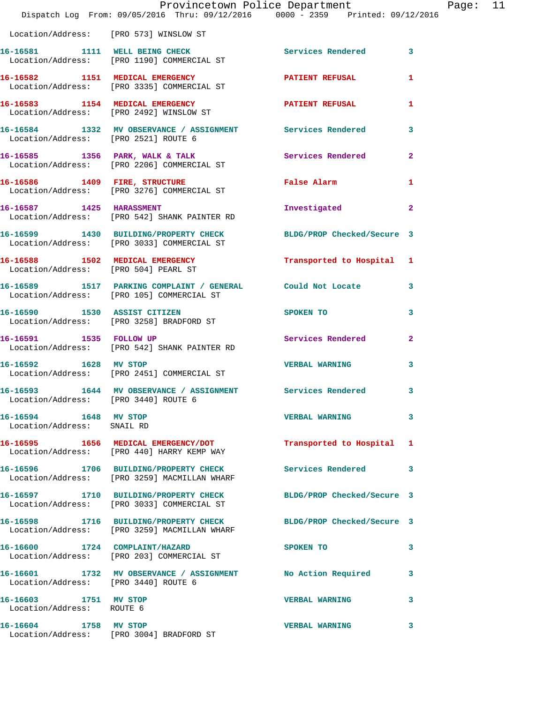|                                                     | Dispatch Log From: 09/05/2016 Thru: 09/12/2016 0000 - 2359 Printed: 09/12/2016                                   | Provincetown Police Department | Page: 11     |  |
|-----------------------------------------------------|------------------------------------------------------------------------------------------------------------------|--------------------------------|--------------|--|
|                                                     | Location/Address: [PRO 573] WINSLOW ST                                                                           |                                |              |  |
|                                                     | 16-16581 1111 WELL BEING CHECK Services Rendered 3<br>Location/Address: [PRO 1190] COMMERCIAL ST                 |                                |              |  |
|                                                     | 16-16582 1151 MEDICAL EMERGENCY 1 PATIENT REFUSAL 1<br>Location/Address: [PRO 3335] COMMERCIAL ST                |                                |              |  |
|                                                     | 16-16583 1154 MEDICAL EMERGENCY PATIENT REFUSAL<br>Location/Address: [PRO 2492] WINSLOW ST                       |                                | 1            |  |
|                                                     | 16-16584 1332 MV OBSERVANCE / ASSIGNMENT Services Rendered 3<br>Location/Address: [PRO 2521] ROUTE 6             |                                |              |  |
|                                                     | 16-16585 1356 PARK, WALK & TALK 1999 Services Rendered 2<br>Location/Address: [PRO 2206] COMMERCIAL ST           |                                |              |  |
|                                                     | 16-16586 1409 FIRE, STRUCTURE 1 False Alarm 1<br>Location/Address: [PRO 3276] COMMERCIAL ST                      |                                |              |  |
|                                                     | 16-16587 1425 HARASSMENT<br>Location/Address: [PRO 542] SHANK PAINTER RD                                         | Investigated                   | $\mathbf{2}$ |  |
|                                                     | 16-16599 1430 BUILDING/PROPERTY CHECK BLDG/PROP Checked/Secure 3<br>Location/Address: [PRO 3033] COMMERCIAL ST   |                                |              |  |
| Location/Address: [PRO 504] PEARL ST                | 16-16588 1502 MEDICAL EMERGENCY Transported to Hospital 1                                                        |                                |              |  |
|                                                     | 16-16589 1517 PARKING COMPLAINT / GENERAL Could Not Locate 3<br>Location/Address: [PRO 105] COMMERCIAL ST        |                                |              |  |
|                                                     | 16-16590 1530 ASSIST CITIZEN<br>Location/Address: [PRO 3258] BRADFORD ST                                         | <b>SPOKEN TO</b>               | 3            |  |
|                                                     | 16-16591 1535 FOLLOW UP<br>Location/Address: [PRO 542] SHANK PAINTER RD                                          | Services Rendered              | $\mathbf{2}$ |  |
|                                                     | 16-16592 1628 MV STOP<br>Location/Address: [PRO 2451] COMMERCIAL ST                                              | VERBAL WARNING 3               |              |  |
| Location/Address: [PRO 3440] ROUTE 6                | 16-16593 1644 MV OBSERVANCE / ASSIGNMENT Services Rendered 3                                                     |                                |              |  |
| 16-16594 1648 MV STOP<br>Location/Address: SNAIL RD |                                                                                                                  | <b>VERBAL WARNING</b>          | 3            |  |
|                                                     | 16-16595 1656 MEDICAL EMERGENCY/DOT<br>Location/Address: [PRO 440] HARRY KEMP WAY                                | Transported to Hospital 1      |              |  |
|                                                     | 16-16596 1706 BUILDING/PROPERTY CHECK Services Rendered<br>Location/Address: [PRO 3259] MACMILLAN WHARF          |                                | 3            |  |
|                                                     | 16-16597 1710 BUILDING/PROPERTY CHECK BLDG/PROP Checked/Secure 3<br>Location/Address: [PRO 3033] COMMERCIAL ST   |                                |              |  |
|                                                     | 16-16598 1716 BUILDING/PROPERTY CHECK BLDG/PROP Checked/Secure 3<br>Location/Address: [PRO 3259] MACMILLAN WHARF |                                |              |  |
|                                                     | 16-16600 1724 COMPLAINT/HAZARD<br>Location/Address: [PRO 203] COMMERCIAL ST                                      | SPOKEN TO                      | 3            |  |
| Location/Address: [PRO 3440] ROUTE 6                | 16-16601 1732 MV OBSERVANCE / ASSIGNMENT No Action Required                                                      |                                | 3            |  |
| 16-16603 1751 MV STOP<br>Location/Address: ROUTE 6  |                                                                                                                  | <b>VERBAL WARNING</b>          | 3            |  |
| 16-16604 1758 MV STOP                               | Location/Address: [PRO 3004] BRADFORD ST                                                                         | <b>VERBAL WARNING</b>          | 3            |  |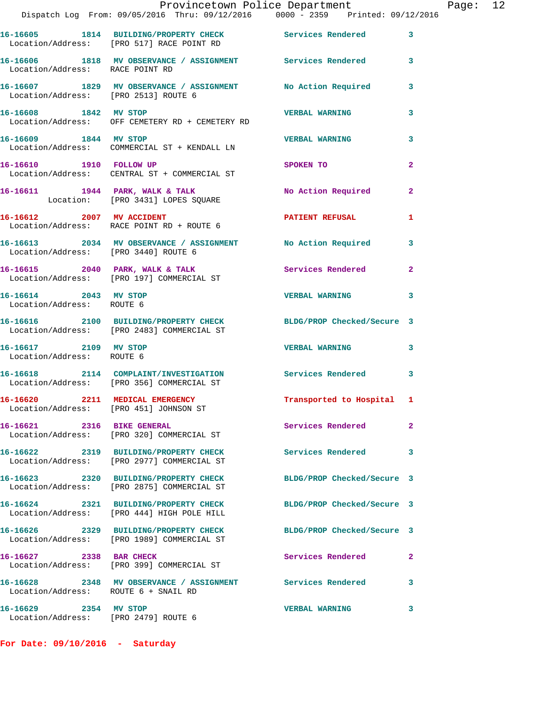|                                                                  | Provincetown Police Department<br>Dispatch Log From: 09/05/2016 Thru: 09/12/2016 0000 - 2359 Printed: 09/12/2016 |                            |                |
|------------------------------------------------------------------|------------------------------------------------------------------------------------------------------------------|----------------------------|----------------|
|                                                                  | 16-16605 1814 BUILDING/PROPERTY CHECK Services Rendered<br>Location/Address: [PRO 517] RACE POINT RD             |                            | 3              |
| Location/Address: RACE POINT RD                                  | 16-16606 1818 MV OBSERVANCE / ASSIGNMENT Services Rendered                                                       |                            | 3              |
| Location/Address: [PRO 2513] ROUTE 6                             | 16-16607 1829 MV OBSERVANCE / ASSIGNMENT No Action Required                                                      |                            | 3              |
| 16-16608 1842 MV STOP                                            | Location/Address: OFF CEMETERY RD + CEMETERY RD                                                                  | <b>VERBAL WARNING</b>      | 3              |
|                                                                  | 16-16609 1844 MV STOP<br>Location/Address: COMMERCIAL ST + KENDALL LN                                            | <b>VERBAL WARNING</b>      | 3              |
| 16-16610 1910 FOLLOW UP                                          | Location/Address: CENTRAL ST + COMMERCIAL ST                                                                     | SPOKEN TO                  | $\overline{a}$ |
|                                                                  | 16-16611 1944 PARK, WALK & TALK<br>Location: [PRO 3431] LOPES SQUARE                                             | No Action Required         | $\mathbf{2}$   |
| 16-16612 2007 MV ACCIDENT                                        | Location/Address: RACE POINT RD + ROUTE 6                                                                        | <b>PATIENT REFUSAL</b>     | 1              |
|                                                                  | 16-16613 2034 MV OBSERVANCE / ASSIGNMENT No Action Required<br>Location/Address: [PRO 3440] ROUTE 6              |                            | 3              |
|                                                                  | 16-16615 2040 PARK, WALK & TALK<br>Location/Address: [PRO 197] COMMERCIAL ST                                     | <b>Services Rendered</b>   | $\mathbf{2}$   |
| 16-16614 2043 MV STOP<br>Location/Address: ROUTE 6               |                                                                                                                  | <b>VERBAL WARNING</b>      | 3              |
|                                                                  | 16-16616 2100 BUILDING/PROPERTY CHECK<br>Location/Address: [PRO 2483] COMMERCIAL ST                              | BLDG/PROP Checked/Secure 3 |                |
| 16-16617 2109 MV STOP<br>Location/Address: ROUTE 6               |                                                                                                                  | <b>VERBAL WARNING</b>      | 3              |
|                                                                  | 16-16618 2114 COMPLAINT/INVESTIGATION Services Rendered<br>Location/Address: [PRO 356] COMMERCIAL ST             |                            | 3              |
| Location/Address: [PRO 451] JOHNSON ST                           | 16-16620 2211 MEDICAL EMERGENCY                                                                                  | Transported to Hospital 1  |                |
| 16-16621 2316 BIKE GENERAL                                       | Location/Address: [PRO 320] COMMERCIAL ST                                                                        | Services Rendered          | $\overline{a}$ |
|                                                                  | 16-16622 2319 BUILDING/PROPERTY CHECK<br>Location/Address: [PRO 2977] COMMERCIAL ST                              | Services Rendered          | 3              |
|                                                                  | 16-16623 2320 BUILDING/PROPERTY CHECK<br>Location/Address: [PRO 2875] COMMERCIAL ST                              | BLDG/PROP Checked/Secure 3 |                |
|                                                                  | 16-16624 2321 BUILDING/PROPERTY CHECK<br>Location/Address: [PRO 444] HIGH POLE HILL                              | BLDG/PROP Checked/Secure 3 |                |
|                                                                  | 16-16626 2329 BUILDING/PROPERTY CHECK<br>Location/Address: [PRO 1989] COMMERCIAL ST                              | BLDG/PROP Checked/Secure 3 |                |
| 16-16627 2338 BAR CHECK                                          | Location/Address: [PRO 399] COMMERCIAL ST                                                                        | Services Rendered          | $\overline{a}$ |
| Location/Address: ROUTE 6 + SNAIL RD                             | 16-16628 2348 MV OBSERVANCE / ASSIGNMENT Services Rendered                                                       |                            | 3              |
| 2354 MV STOP<br>16-16629<br>Location/Address: [PRO 2479] ROUTE 6 |                                                                                                                  | <b>VERBAL WARNING</b>      | 3              |

**For Date: 09/10/2016 - Saturday**

Page: 12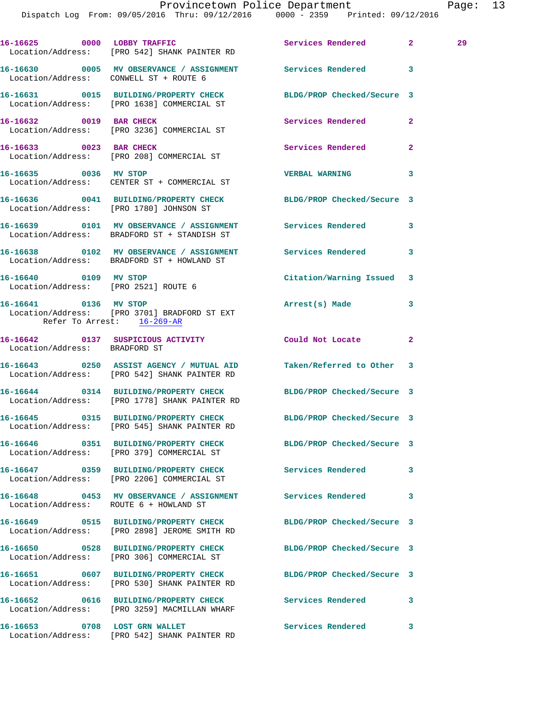|                                                               | 16-16625 0000 LOBBY TRAFFIC<br>Location/Address: [PRO 542] SHANK PAINTER RD                                        | Services Rendered          | $\mathbf{2}$   | 29 |
|---------------------------------------------------------------|--------------------------------------------------------------------------------------------------------------------|----------------------------|----------------|----|
|                                                               | 16-16630 0005 MV OBSERVANCE / ASSIGNMENT Services Rendered 3<br>Location/Address: CONWELL ST + ROUTE 6             |                            |                |    |
|                                                               | 16-16631 0015 BUILDING/PROPERTY CHECK<br>Location/Address: [PRO 1638] COMMERCIAL ST                                | BLDG/PROP Checked/Secure 3 |                |    |
| 16-16632 0019 BAR CHECK                                       | Location/Address: [PRO 3236] COMMERCIAL ST                                                                         | Services Rendered          | $\overline{2}$ |    |
|                                                               | 16-16633 0023 BAR CHECK<br>Location/Address: [PRO 208] COMMERCIAL ST                                               | Services Rendered          | 2              |    |
| 16-16635 0036 MV STOP                                         | Location/Address: CENTER ST + COMMERCIAL ST                                                                        | <b>VERBAL WARNING</b>      | 3              |    |
|                                                               | 16-16636 0041 BUILDING/PROPERTY CHECK<br>Location/Address: [PRO 1780] JOHNSON ST                                   | BLDG/PROP Checked/Secure 3 |                |    |
|                                                               | 16-16639 0101 MV OBSERVANCE / ASSIGNMENT Services Rendered<br>Location/Address: BRADFORD ST + STANDISH ST          |                            | 3              |    |
|                                                               | 16-16638 0102 MV OBSERVANCE / ASSIGNMENT Services Rendered<br>Location/Address: BRADFORD ST + HOWLAND ST           |                            | 3              |    |
| 16-16640 0109 MV STOP<br>Location/Address: [PRO 2521] ROUTE 6 |                                                                                                                    | Citation/Warning Issued    | 3              |    |
| 16-16641 0136 MV STOP<br>Refer To Arrest: 16-269-AR           | Location/Address: [PRO 3701] BRADFORD ST EXT                                                                       | Arrest(s) Made             | 3              |    |
| Location/Address: BRADFORD ST                                 | 16-16642 0137 SUSPICIOUS ACTIVITY Could Not Locate                                                                 |                            | 2              |    |
|                                                               | 16-16643 0250 ASSIST AGENCY / MUTUAL AID Taken/Referred to Other 3<br>Location/Address: [PRO 542] SHANK PAINTER RD |                            |                |    |
|                                                               | 16-16644 0314 BUILDING/PROPERTY CHECK<br>Location/Address: [PRO 1778] SHANK PAINTER RD                             | BLDG/PROP Checked/Secure 3 |                |    |
|                                                               | 16-16645 0315 BUILDING/PROPERTY CHECK<br>Location/Address: [PRO 545] SHANK PAINTER RD                              | BLDG/PROP Checked/Secure 3 |                |    |
|                                                               | Location/Address: [PRO 379] COMMERCIAL ST                                                                          | BLDG/PROP Checked/Secure 3 |                |    |
|                                                               | 16-16647 0359 BUILDING/PROPERTY CHECK<br>Location/Address: [PRO 2206] COMMERCIAL ST                                | <b>Services Rendered</b>   | 3              |    |
|                                                               | 16-16648 0453 MV OBSERVANCE / ASSIGNMENT Services Rendered<br>Location/Address: ROUTE 6 + HOWLAND ST               |                            | 3              |    |
|                                                               | 16-16649 0515 BUILDING/PROPERTY CHECK BLDG/PROP Checked/Secure 3<br>Location/Address: [PRO 2898] JEROME SMITH RD   |                            |                |    |
|                                                               | 16-16650 0528 BUILDING/PROPERTY CHECK<br>Location/Address: [PRO 306] COMMERCIAL ST                                 | BLDG/PROP Checked/Secure 3 |                |    |
|                                                               | 16-16651 0607 BUILDING/PROPERTY CHECK<br>Location/Address: [PRO 530] SHANK PAINTER RD                              | BLDG/PROP Checked/Secure 3 |                |    |
|                                                               | 16-16652 0616 BUILDING/PROPERTY CHECK<br>Location/Address: [PRO 3259] MACMILLAN WHARF                              | <b>Services Rendered</b>   | 3              |    |
| 16-16653 0708 LOST GRN WALLET                                 |                                                                                                                    | Services Rendered 3        |                |    |

Location/Address: [PRO 542] SHANK PAINTER RD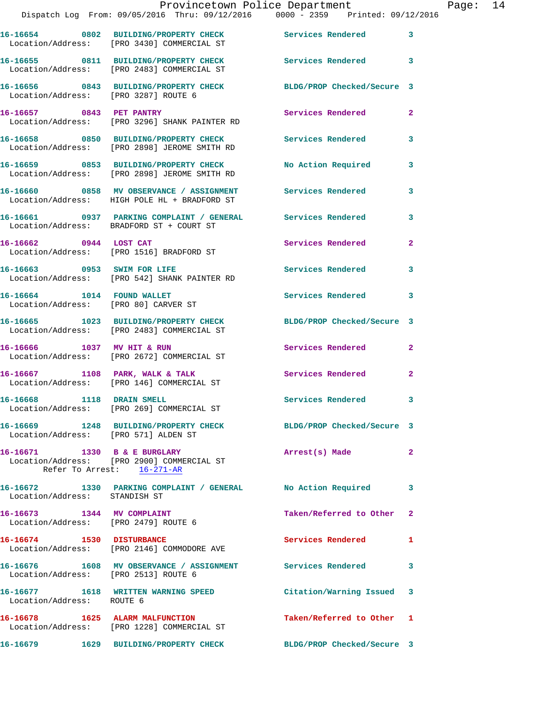|          |                               | DISPATCN LOG From: 09/05/2016 TNru: 09/12/2016     0000 - 2359   Printed: 09/12/                         |                                   |                         |
|----------|-------------------------------|----------------------------------------------------------------------------------------------------------|-----------------------------------|-------------------------|
|          |                               | 16-16654 0802 BUILDING/PROPERTY CHECK<br>Location/Address: [PRO 3430] COMMERCIAL ST                      | <b>Services Rendered</b> 3        |                         |
|          |                               | 16-16655 0811 BUILDING/PROPERTY CHECK<br>Location/Address: [PRO 2483] COMMERCIAL ST                      | <b>Services Rendered</b>          | $\overline{\mathbf{3}}$ |
|          |                               | 16-16656 0843 BUILDING/PROPERTY CHECK<br>Location/Address: [PRO 3287] ROUTE 6                            | BLDG/PROP Checked/Secure 3        |                         |
|          |                               | 16-16657 0843 PET PANTRY<br>Location/Address: [PRO 3296] SHANK PAINTER RD                                | Services Rendered                 | $\overline{2}$          |
|          |                               | 16-16658 0850 BUILDING/PROPERTY CHECK<br>Location/Address: [PRO 2898] JEROME SMITH RD                    | <b>Services Rendered</b>          | 3                       |
|          |                               | 16-16659 0853 BUILDING/PROPERTY CHECK<br>Location/Address: [PRO 2898] JEROME SMITH RD                    | No Action Required                | 3                       |
|          |                               | 16-16660 0858 MV OBSERVANCE / ASSIGNMENT<br>Location/Address: HIGH POLE HL + BRADFORD ST                 | <b>Services Rendered</b>          | 3                       |
|          |                               | 16-16661 0937 PARKING COMPLAINT / GENERAL Services Rendered<br>Location/Address: BRADFORD ST + COURT ST  |                                   | 3                       |
|          | 16-16662 0944 LOST CAT        | Location/Address: [PRO 1516] BRADFORD ST                                                                 | Services Rendered                 | $\overline{2}$          |
|          |                               | 16-16663 0953 SWIM FOR LIFE<br>Location/Address: [PRO 542] SHANK PAINTER RD                              | <b>Services Rendered</b>          | 3                       |
|          | 16-16664 1014 FOUND WALLET    | Location/Address: [PRO 80] CARVER ST                                                                     | Services Rendered                 | 3                       |
|          |                               | 16-16665 1023 BUILDING/PROPERTY CHECK<br>Location/Address: [PRO 2483] COMMERCIAL ST                      | BLDG/PROP Checked/Secure 3        |                         |
|          |                               | 16-16666 1037 MV HIT & RUN<br>Location/Address: [PRO 2672] COMMERCIAL ST                                 | Services Rendered                 | $\mathbf{2}$            |
|          |                               | 16-16667 1108 PARK, WALK & TALK<br>Location/Address: [PRO 146] COMMERCIAL ST                             | Services Rendered                 | $\overline{2}$          |
|          | 16-16668 1118 DRAIN SMELL     | Location/Address: [PRO 269] COMMERCIAL ST                                                                | <b>Services Rendered</b>          | 3                       |
|          |                               | 16-16669 1248 BUILDING/PROPERTY CHECK<br>Location/Address: [PRO 571] ALDEN ST                            | BLDG/PROP Checked/Secure 3        |                         |
|          |                               | 16-16671 1330 B & E BURGLARY<br>Location/Address: [PRO 2900] COMMERCIAL ST<br>Refer To Arrest: 16-271-AR | Arrest(s) Made                    | $\mathbf{2}$            |
|          | Location/Address: STANDISH ST | 16-16672 1330 PARKING COMPLAINT / GENERAL No Action Required                                             |                                   | 3                       |
|          |                               | 16-16673 1344 MV COMPLAINT<br>Location/Address: [PRO 2479] ROUTE 6                                       | Taken/Referred to Other 2         |                         |
|          | 16-16674 1530 DISTURBANCE     | Location/Address: [PRO 2146] COMMODORE AVE                                                               | Services Rendered<br>$\mathbf{1}$ |                         |
|          |                               | 16-16676 1608 MV OBSERVANCE / ASSIGNMENT Services Rendered<br>Location/Address: [PRO 2513] ROUTE 6       |                                   | 3                       |
|          | Location/Address: ROUTE 6     | 16-16677 1618 WRITTEN WARNING SPEED                                                                      | Citation/Warning Issued 3         |                         |
|          |                               | 16-16678 1625 ALARM MALFUNCTION<br>Location/Address: [PRO 1228] COMMERCIAL ST                            | Taken/Referred to Other 1         |                         |
| 16-16679 |                               | 1629 BUILDING/PROPERTY CHECK                                                                             | BLDG/PROP Checked/Secure 3        |                         |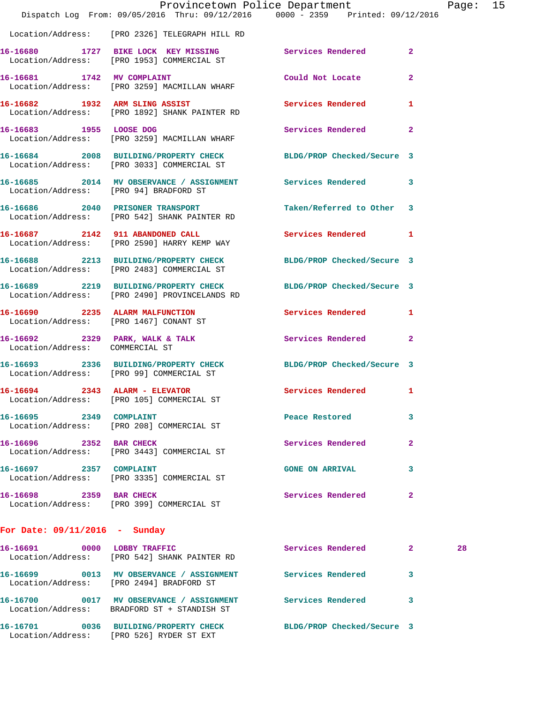|                                 |                                                                                                                   | Provincetown Police Department |              | Page: 15 |  |
|---------------------------------|-------------------------------------------------------------------------------------------------------------------|--------------------------------|--------------|----------|--|
|                                 | Dispatch Log From: 09/05/2016 Thru: 09/12/2016 0000 - 2359 Printed: 09/12/2016                                    |                                |              |          |  |
|                                 | Location/Address: [PRO 2326] TELEGRAPH HILL RD                                                                    |                                |              |          |  |
|                                 | 16-16680 1727 BIKE LOCK KEY MISSING Services Rendered 2<br>Location/Address: [PRO 1953] COMMERCIAL ST             |                                |              |          |  |
|                                 | 16-16681 1742 MV COMPLAINT<br>Location/Address: [PRO 3259] MACMILLAN WHARF                                        | Could Not Locate 2             |              |          |  |
|                                 | 16-16682 1932 ARM SLING ASSIST<br>Location/Address: [PRO 1892] SHANK PAINTER RD                                   | Services Rendered 1            |              |          |  |
|                                 | 16-16683 1955 LOOSE DOG Services Rendered 2<br>Location/Address: [PRO 3259] MACMILLAN WHARF                       |                                |              |          |  |
|                                 | 16-16684 2008 BUILDING/PROPERTY CHECK BLDG/PROP Checked/Secure 3<br>Location/Address: [PRO 3033] COMMERCIAL ST    |                                |              |          |  |
|                                 | 16-16685 2014 MV OBSERVANCE / ASSIGNMENT Services Rendered 3<br>Location/Address: [PRO 94] BRADFORD ST            |                                |              |          |  |
|                                 | 16-16686 2040 PRISONER TRANSPORT<br>Location/Address: [PRO 542] SHANK PAINTER RD                                  | Taken/Referred to Other 3      |              |          |  |
|                                 | 16-16687 2142 911 ABANDONED CALL<br>Location/Address: [PRO 2590] HARRY KEMP WAY                                   | Services Rendered 1            |              |          |  |
|                                 | 16-16688 2213 BUILDING/PROPERTY CHECK BLDG/PROP Checked/Secure 3<br>Location/Address: [PRO 2483] COMMERCIAL ST    |                                |              |          |  |
|                                 | 16-16689 2219 BUILDING/PROPERTY CHECK BLDG/PROP Checked/Secure 3<br>Location/Address: [PRO 2490] PROVINCELANDS RD |                                |              |          |  |
|                                 | 16-16690 2235 ALARM MALFUNCTION Services Rendered 1<br>Location/Address: [PRO 1467] CONANT ST                     |                                |              |          |  |
| Location/Address: COMMERCIAL ST | 16-16692 2329 PARK, WALK & TALK 2 Services Rendered 2                                                             |                                |              |          |  |
|                                 | 16-16693 2336 BUILDING/PROPERTY CHECK BLDG/PROP Checked/Secure 3<br>Location/Address: [PRO 99] COMMERCIAL ST      |                                |              |          |  |
|                                 | $16-16694$ 2343 ALARM - ELEVATOR<br>Location/Address: [PRO 105] COMMERCIAL ST                                     | Services Rendered 1            |              |          |  |
| 16-16695 2349 COMPLAINT         | Location/Address: [PRO 208] COMMERCIAL ST                                                                         | Peace Restored                 | 3            |          |  |
| 16-16696 2352 BAR CHECK         | Location/Address: [PRO 3443] COMMERCIAL ST                                                                        | Services Rendered              | $\mathbf{2}$ |          |  |
| 16-16697 2357 COMPLAINT         | Location/Address: [PRO 3335] COMMERCIAL ST                                                                        | <b>GONE ON ARRIVAL</b>         | 3            |          |  |
| 16-16698 2359 BAR CHECK         | Location/Address: [PRO 399] COMMERCIAL ST                                                                         | Services Rendered              | 2            |          |  |
| For Date: $09/11/2016$ - Sunday |                                                                                                                   |                                |              |          |  |
| 16-16691 0000 LOBBY TRAFFIC     | Location/Address: [PRO 542] SHANK PAINTER RD                                                                      | Services Rendered 2            |              | 28       |  |

**16-16699 0013 MV OBSERVANCE / ASSIGNMENT Services Rendered 3**  Location/Address: [PRO 2494] BRADFORD ST **16-16700 0017 MV OBSERVANCE / ASSIGNMENT Services Rendered 3**  Location/Address: BRADFORD ST + STANDISH ST

Location/Address: [PRO 526] RYDER ST EXT

**16-16701 0036 BUILDING/PROPERTY CHECK BLDG/PROP Checked/Secure 3**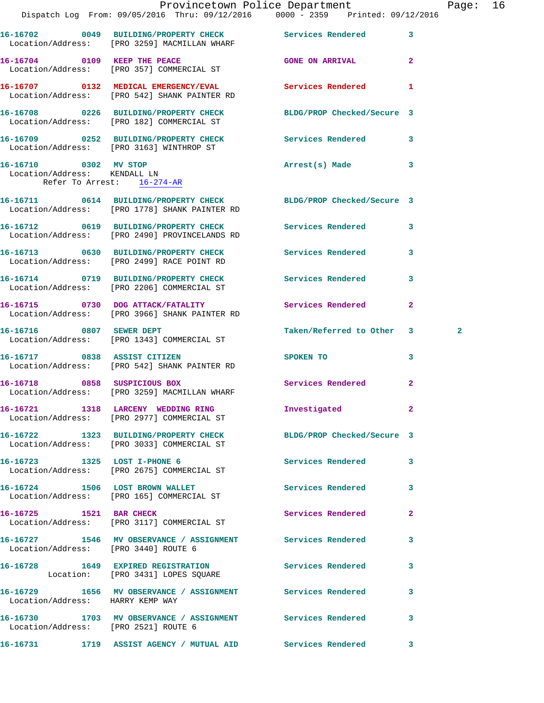|                                                            | Dispatch Log From: 09/05/2016 Thru: 09/12/2016 0000 - 2359 Printed: 09/12/2016                                    | Provincetown Police Department |              | Page: 16     |  |
|------------------------------------------------------------|-------------------------------------------------------------------------------------------------------------------|--------------------------------|--------------|--------------|--|
|                                                            |                                                                                                                   |                                |              |              |  |
|                                                            | 16-16702 0049 BUILDING/PROPERTY CHECK Services Rendered 3<br>Location/Address: [PRO 3259] MACMILLAN WHARF         |                                |              |              |  |
|                                                            | 16-16704 0109 KEEP THE PEACE<br>Location/Address: [PRO 357] COMMERCIAL ST                                         | GONE ON ARRIVAL 2              |              |              |  |
|                                                            | 16-16707 0132 MEDICAL EMERGENCY/EVAL Services Rendered 1<br>Location/Address: [PRO 542] SHANK PAINTER RD          |                                |              |              |  |
|                                                            | 16-16708 0226 BUILDING/PROPERTY CHECK BLDG/PROP Checked/Secure 3<br>Location/Address: [PRO 182] COMMERCIAL ST     |                                |              |              |  |
|                                                            | 16-16709 0252 BUILDING/PROPERTY CHECK Services Rendered 3<br>Location/Address: [PRO 3163] WINTHROP ST             |                                |              |              |  |
| Location/Address: KENDALL LN<br>Refer To Arrest: 16-274-AR | 16-16710 0302 MV STOP                                                                                             | Arrest(s) Made                 | 3            |              |  |
|                                                            | 16-16711 0614 BUILDING/PROPERTY CHECK BLDG/PROP Checked/Secure 3<br>Location/Address: [PRO 1778] SHANK PAINTER RD |                                |              |              |  |
|                                                            | 16-16712 0619 BUILDING/PROPERTY CHECK Services Rendered 3<br>Location/Address: [PRO 2490] PROVINCELANDS RD        |                                |              |              |  |
|                                                            | 16-16713 0630 BUILDING/PROPERTY CHECK Services Rendered 3<br>Location/Address: [PRO 2499] RACE POINT RD           |                                |              |              |  |
|                                                            | 16-16714 0719 BUILDING/PROPERTY CHECK Services Rendered 3<br>Location/Address: [PRO 2206] COMMERCIAL ST           |                                |              |              |  |
|                                                            | 16-16715 0730 DOG ATTACK/FATALITY<br>Location/Address: [PRO 3966] SHANK PAINTER RD                                | Services Rendered              | $\mathbf{2}$ |              |  |
|                                                            | 16-16716 0807 SEWER DEPT<br>Location/Address: [PRO 1343] COMMERCIAL ST                                            | Taken/Referred to Other 3      |              | $\mathbf{2}$ |  |
|                                                            | 16-16717 0838 ASSIST CITIZEN<br>Location/Address: [PRO 542] SHANK PAINTER RD                                      | SPOKEN TO                      | $\mathbf{3}$ |              |  |
|                                                            | 16-16718 0858 SUSPICIOUS BOX<br>Location/Address: [PRO 3259] MACMILLAN WHARF                                      | Services Rendered 2            |              |              |  |
|                                                            | 16-16721 1318 LARCENY WEDDING RING<br>Location/Address: [PRO 2977] COMMERCIAL ST                                  | Investigated 2                 |              |              |  |
|                                                            | 16-16722 1323 BUILDING/PROPERTY CHECK BLDG/PROP Checked/Secure 3<br>Location/Address: [PRO 3033] COMMERCIAL ST    |                                |              |              |  |
|                                                            | 16-16723 1325 LOST I-PHONE 6<br>Location/Address: [PRO 2675] COMMERCIAL ST                                        | Services Rendered 3            |              |              |  |
|                                                            | 16-16724 1506 LOST BROWN WALLET<br>Location/Address: [PRO 165] COMMERCIAL ST                                      | Services Rendered              | 3            |              |  |
| 16-16725 1521 BAR CHECK                                    | Location/Address: [PRO 3117] COMMERCIAL ST                                                                        | Services Rendered              | $\mathbf{2}$ |              |  |
| Location/Address: [PRO 3440] ROUTE 6                       | 16-16727 1546 MV OBSERVANCE / ASSIGNMENT Services Rendered                                                        |                                | 3            |              |  |
|                                                            | 16-16728 1649 EXPIRED REGISTRATION<br>Location: [PRO 3431] LOPES SQUARE                                           | Services Rendered              | 3            |              |  |
| Location/Address: HARRY KEMP WAY                           | 16-16729 1656 MV OBSERVANCE / ASSIGNMENT Services Rendered                                                        |                                | 3            |              |  |
| Location/Address: [PRO 2521] ROUTE 6                       |                                                                                                                   |                                | 3            |              |  |
|                                                            |                                                                                                                   |                                |              |              |  |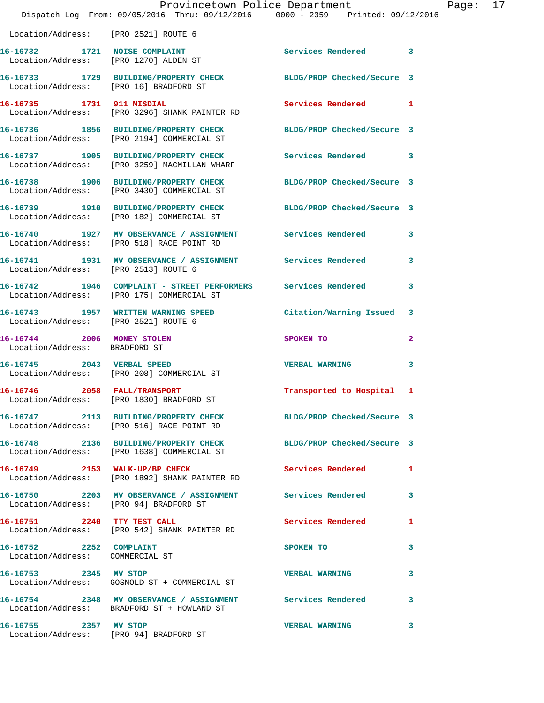|                                                                        | Provincetown Police Department<br>Dispatch Log From: 09/05/2016 Thru: 09/12/2016 0000 - 2359 Printed: 09/12/2016 |                            |   |
|------------------------------------------------------------------------|------------------------------------------------------------------------------------------------------------------|----------------------------|---|
| Location/Address: [PRO 2521] ROUTE 6                                   |                                                                                                                  |                            |   |
| 16-16732 1721 NOISE COMPLAINT<br>Location/Address: [PRO 1270] ALDEN ST |                                                                                                                  | Services Rendered          | 3 |
| Location/Address: [PRO 16] BRADFORD ST                                 | 16-16733 1729 BUILDING/PROPERTY CHECK                                                                            | BLDG/PROP Checked/Secure 3 |   |
|                                                                        | 16-16735 1731 911 MISDIAL<br>Location/Address: [PRO 3296] SHANK PAINTER RD                                       | <b>Services Rendered</b>   | 1 |
|                                                                        | 16-16736 1856 BUILDING/PROPERTY CHECK<br>Location/Address: [PRO 2194] COMMERCIAL ST                              | BLDG/PROP Checked/Secure 3 |   |
|                                                                        | 16-16737 1905 BUILDING/PROPERTY CHECK<br>Location/Address: [PRO 3259] MACMILLAN WHARF                            | Services Rendered          | 3 |
|                                                                        | 16-16738 1906 BUILDING/PROPERTY CHECK BLDG/PROP Checked/Secure 3<br>Location/Address: [PRO 3430] COMMERCIAL ST   |                            |   |
|                                                                        | 16-16739 1910 BUILDING/PROPERTY CHECK<br>Location/Address: [PRO 182] COMMERCIAL ST                               | BLDG/PROP Checked/Secure 3 |   |
|                                                                        | 16-16740 1927 MV OBSERVANCE / ASSIGNMENT Services Rendered<br>Location/Address: [PRO 518] RACE POINT RD          |                            | 3 |
| Location/Address: [PRO 2513] ROUTE 6                                   | 16-16741 1931 MV OBSERVANCE / ASSIGNMENT Services Rendered                                                       |                            | 3 |
|                                                                        | 16-16742 1946 COMPLAINT - STREET PERFORMERS Services Rendered<br>Location/Address: [PRO 175] COMMERCIAL ST       |                            | 3 |
| Location/Address: [PRO 2521] ROUTE 6                                   | 16-16743 1957 WRITTEN WARNING SPEED                                                                              | Citation/Warning Issued    | 3 |
| 16-16744 2006 MONEY STOLEN<br>Location/Address: BRADFORD ST            |                                                                                                                  | SPOKEN TO                  | 2 |
| 16-16745 2043 VERBAL SPEED                                             | Location/Address: [PRO 208] COMMERCIAL ST                                                                        | <b>VERBAL WARNING</b>      | 3 |
| 16-16746 2058 FALL/TRANSPORT                                           | Location/Address: [PRO 1830] BRADFORD ST                                                                         | Transported to Hospital 1  |   |
|                                                                        | 16-16747 2113 BUILDING/PROPERTY CHECK<br>Location/Address: [PRO 516] RACE POINT RD                               | BLDG/PROP Checked/Secure 3 |   |
|                                                                        | 16-16748 2136 BUILDING/PROPERTY CHECK BLDG/PROP Checked/Secure 3<br>Location/Address: [PRO 1638] COMMERCIAL ST   |                            |   |
|                                                                        | 16-16749 2153 WALK-UP/BP CHECK<br>Location/Address: [PRO 1892] SHANK PAINTER RD                                  | Services Rendered          | 1 |
| Location/Address: [PRO 94] BRADFORD ST                                 | 16-16750 2203 MV OBSERVANCE / ASSIGNMENT Services Rendered                                                       |                            | 3 |
|                                                                        | 16-16751 2240 TTY TEST CALL<br>Location/Address: [PRO 542] SHANK PAINTER RD                                      | Services Rendered          | 1 |
| 16-16752 2252 COMPLAINT<br>Location/Address: COMMERCIAL ST             |                                                                                                                  | SPOKEN TO                  | 3 |
| 16-16753 2345 MV STOP                                                  | Location/Address: GOSNOLD ST + COMMERCIAL ST                                                                     | <b>VERBAL WARNING</b>      | 3 |
|                                                                        | 16-16754 2348 MV OBSERVANCE / ASSIGNMENT Services Rendered<br>Location/Address: BRADFORD ST + HOWLAND ST         |                            | 3 |
| 16-16755 2357 MV STOP                                                  | Location/Address: [PRO 94] BRADFORD ST                                                                           | <b>VERBAL WARNING</b>      | 3 |

Page: 17